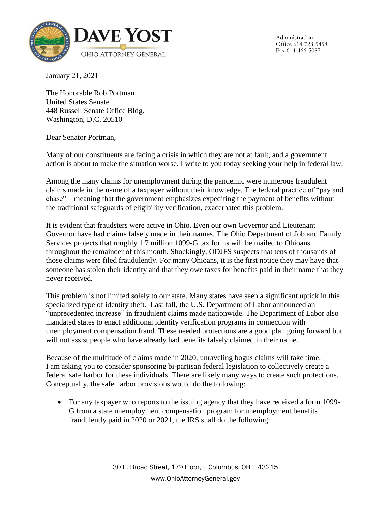

Administration Office 614-728-5458 Fax 614-466-5087

January 21, 2021

The Honorable Rob Portman United States Senate 448 Russell Senate Office Bldg. Washington, D.C. 20510

Dear Senator Portman,

Many of our constituents are facing a crisis in which they are not at fault, and a government action is about to make the situation worse. I write to you today seeking your help in federal law.

Among the many claims for unemployment during the pandemic were numerous fraudulent claims made in the name of a taxpayer without their knowledge. The federal practice of "pay and chase" – meaning that the government emphasizes expediting the payment of benefits without the traditional safeguards of eligibility verification, exacerbated this problem.

It is evident that fraudsters were active in Ohio. Even our own Governor and Lieutenant Governor have had claims falsely made in their names. The Ohio Department of Job and Family Services projects that roughly 1.7 million 1099-G tax forms will be mailed to Ohioans throughout the remainder of this month. Shockingly, ODJFS suspects that tens of thousands of those claims were filed fraudulently. For many Ohioans, it is the first notice they may have that someone has stolen their identity and that they owe taxes for benefits paid in their name that they never received.

This problem is not limited solely to our state. Many states have seen a significant uptick in this specialized type of identity theft. Last fall, the U.S. Department of Labor announced an "unprecedented increase" in fraudulent claims made nationwide. The Department of Labor also mandated states to enact additional identity verification programs in connection with unemployment compensation fraud. These needed protections are a good plan going forward but will not assist people who have already had benefits falsely claimed in their name.

Because of the multitude of claims made in 2020, unraveling bogus claims will take time. I am asking you to consider sponsoring bi-partisan federal legislation to collectively create a federal safe harbor for these individuals. There are likely many ways to create such protections. Conceptually, the safe harbor provisions would do the following:

• For any taxpayer who reports to the issuing agency that they have received a form 1099-G from a state unemployment compensation program for unemployment benefits fraudulently paid in 2020 or 2021, the IRS shall do the following: